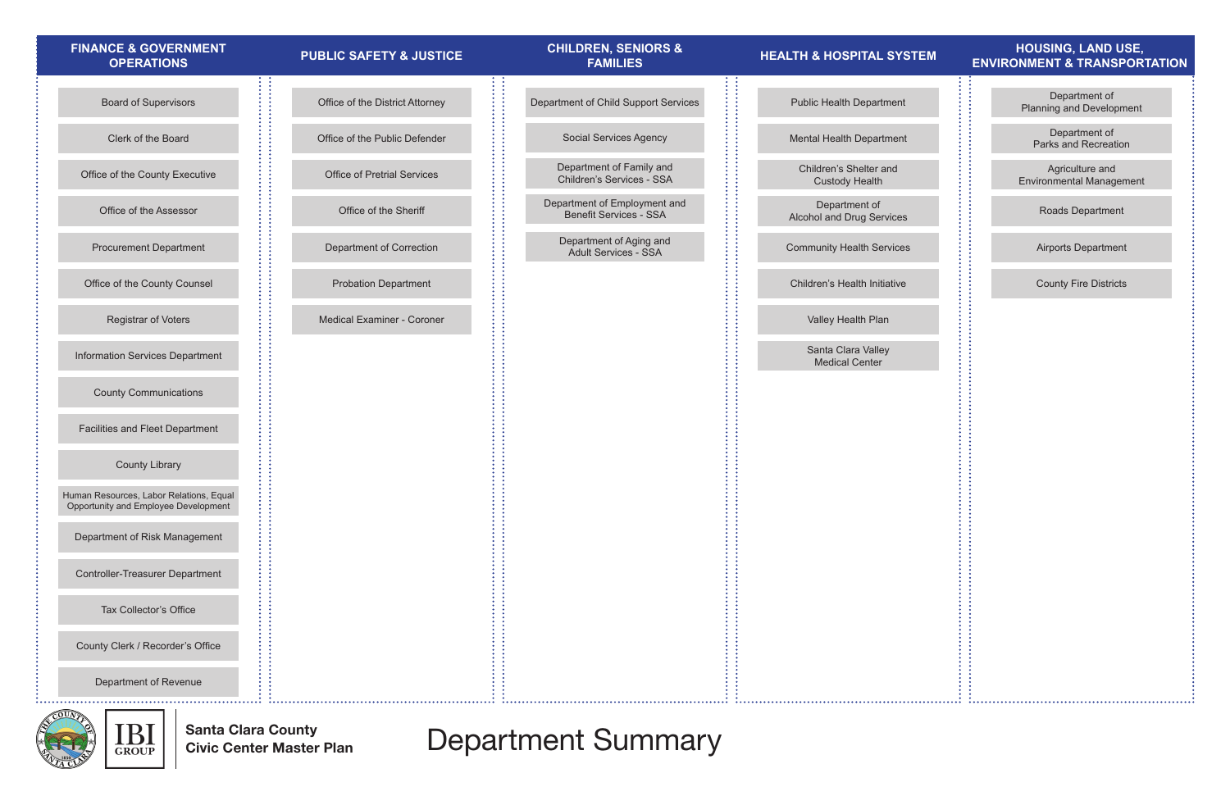Santa Clara County Civic Center Master Plan

## Office of the Assessor Clerk of the Board County Clerk / Recorder's Office County Communications Controller-Treasurer Department Office of the County Counsel Office of the County Executive County Library Human Resources, Labor Relations, Equal Opportunity and Employee Development Department of Risk Management Facilities and Fleet Department Information Services Department Procurement Department Board of Supervisors Registrar of Voters Department of Revenue Tax Collector's Office Department of Child Support Services Social Services Agency Department of Family and Children's Services - SSA Department of Employment and Benefit Services - SSA Department of Aging and Adult Services - SSA Department of **Alcohol and Drug Service** Mental Health Department Santa Clara Valley Medical Center Children's Shelter and Custody Health Public Health Department Community Health Service Valley Health Plan Children's Health Initiativ Department of Correction Office of Pretrial Services Office of the Sheriff Office of the District Attorney Probation Department Medical Examiner - Coroner Office of the Public Defender **Finance & Government Operations Children, Seniors & Families Health & Hospital System Housing, Land Use,**  PUBLIC SAFETY & JUSTICE **A PUBLIC SAFETY & JUSTICE A PARTIC SAFETY & JUSTICE**<br>FAMILIES **FAMILIES** FAMILIES **PARTICULAR SERVIRONMENT & TRANSPORTATION**



| <u>'STEM</u> | <b>HOUSING, LAND USE,</b><br><b>ENVIRONMENT &amp; TRANSPORTATION</b> |
|--------------|----------------------------------------------------------------------|
|              | Department of                                                        |
| ١t           | <b>Planning and Development</b>                                      |
| nt           | Department of<br>Parks and Recreation                                |
|              | Agriculture and<br><b>Environmental Management</b>                   |
| эS           | Roads Department                                                     |
| es           | <b>Airports Department</b>                                           |
| e            | <b>County Fire Districts</b>                                         |
|              |                                                                      |
|              |                                                                      |
|              |                                                                      |
|              |                                                                      |
|              |                                                                      |
|              |                                                                      |
|              |                                                                      |
|              |                                                                      |
|              |                                                                      |
|              |                                                                      |
|              |                                                                      |
|              |                                                                      |
|              |                                                                      |

Department Summary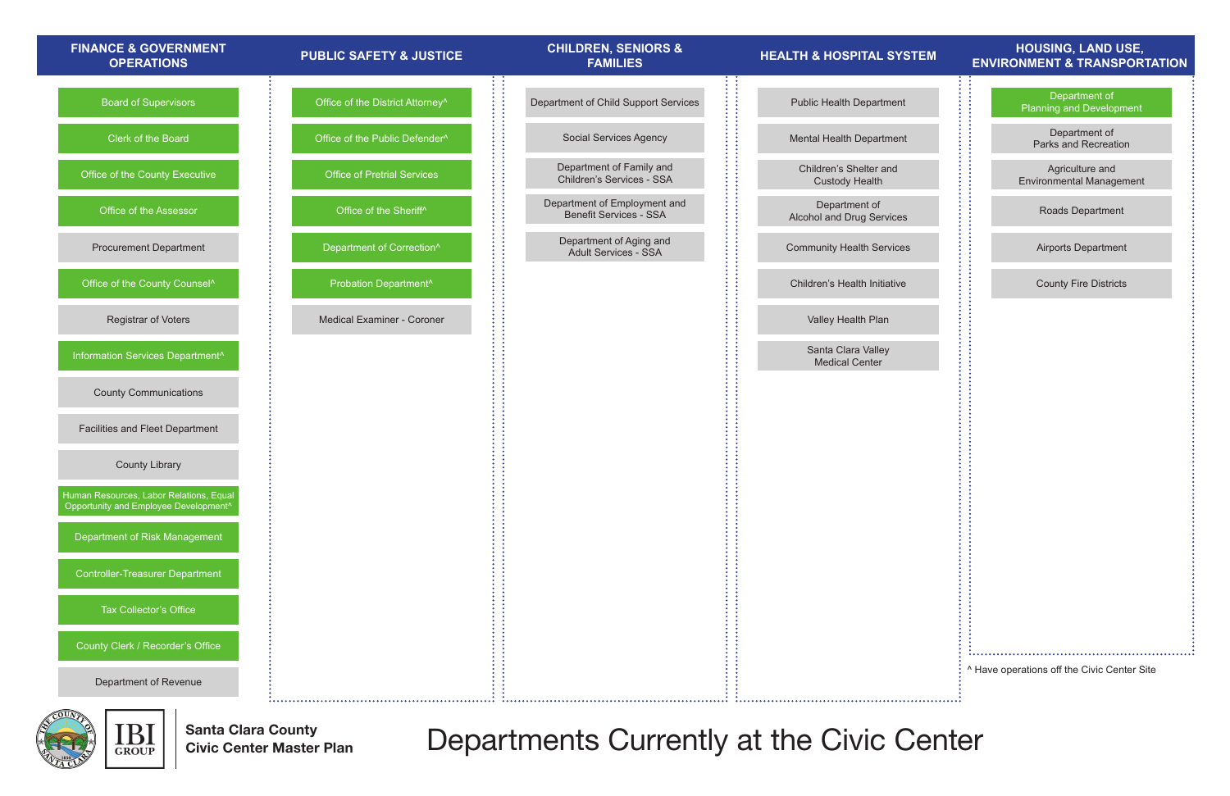

IBI Santa Clara County **GROUP** 

Santa Clara County<br>Civic Center Master Plan **Departments Currently at the Civic Center** 

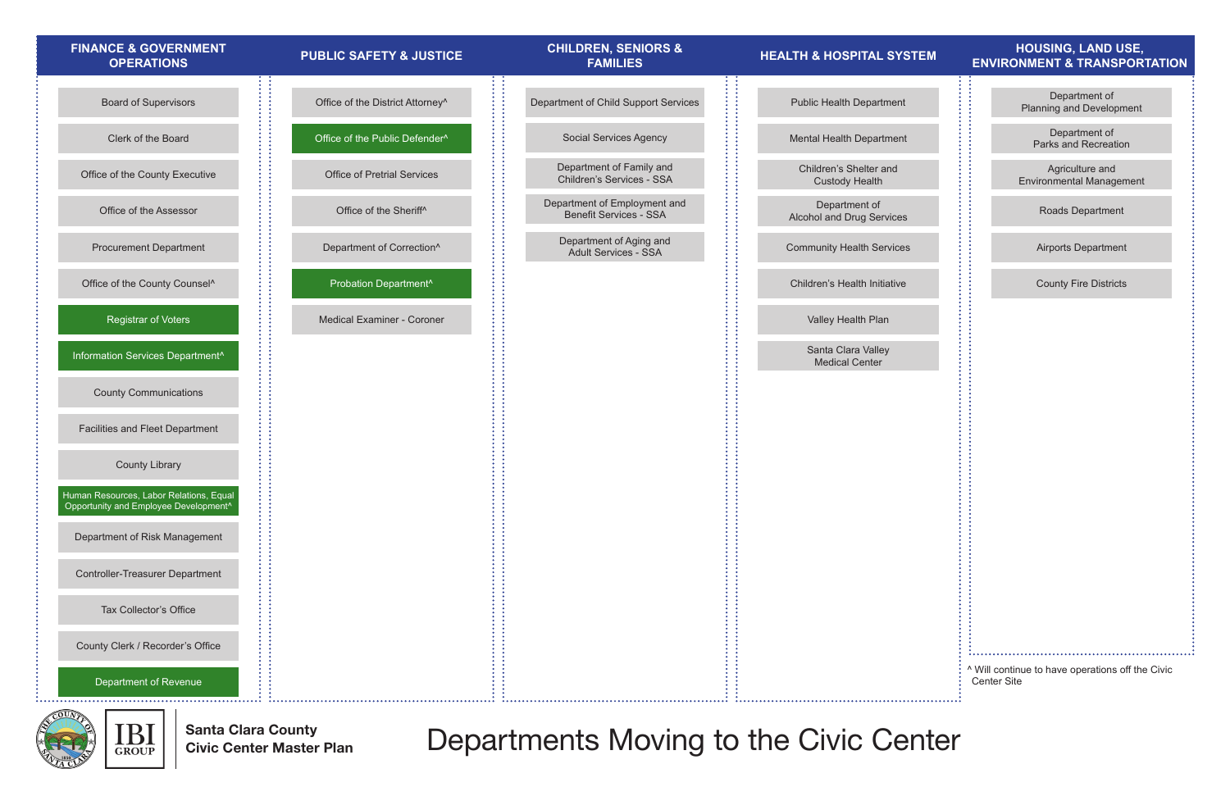Santa Clara County Civic Center Master Plan



Departments Moving to the Civic Center